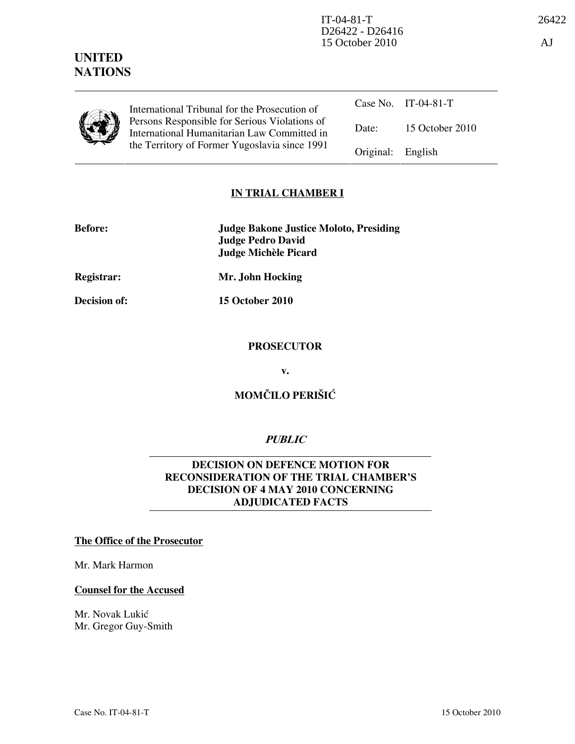

UNITED **NATIONS** 

> International Tribunal for the Prosecution of Persons Responsible for Serious Violations of International Humanitarian Law Committed in the Territory of Former Yugoslavia since 1991

Case No. IT-04-81-T Date: 15 October 2010 Original: English

# IN TRIAL CHAMBER I

| <b>Before:</b> | <b>Judge Bakone Justice Moloto, Presiding</b> |
|----------------|-----------------------------------------------|
|                | Judge Pedro David                             |
|                | Judge Michèle Picard                          |

Registrar: Mr. John Hocking

Decision of: 15 October 2010

# PROSECUTOR

v.

# MOMČILO PERIŠIĆ

# **PUBLIC**

# DECISION ON DEFENCE MOTION FOR RECONSIDERATION OF THE TRIAL CHAMBER'S DECISION OF 4 MAY 2010 CONCERNING ADJUDICATED FACTS

#### The Office of the Prosecutor

Mr. Mark Harmon

#### Counsel for the Accused

Mr. Novak Lukić Mr. Gregor Guy-Smith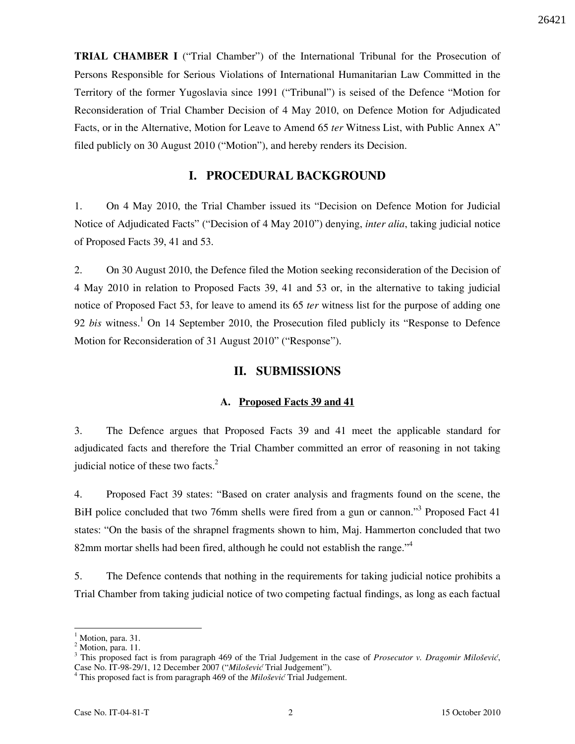TRIAL CHAMBER I ("Trial Chamber") of the International Tribunal for the Prosecution of Persons Responsible for Serious Violations of International Humanitarian Law Committed in the Territory of the former Yugoslavia since 1991 ("Tribunal") is seised of the Defence "Motion for Reconsideration of Trial Chamber Decision of 4 May 2010, on Defence Motion for Adjudicated Facts, or in the Alternative, Motion for Leave to Amend 65 ter Witness List, with Public Annex A" filed publicly on 30 August 2010 ("Motion"), and hereby renders its Decision.

# I. PROCEDURAL BACKGROUND

1. On 4 May 2010, the Trial Chamber issued its "Decision on Defence Motion for Judicial Notice of Adjudicated Facts" ("Decision of 4 May 2010") denying, *inter alia*, taking judicial notice of Proposed Facts 39, 41 and 53.

2. On 30 August 2010, the Defence filed the Motion seeking reconsideration of the Decision of 4 May 2010 in relation to Proposed Facts 39, 41 and 53 or, in the alternative to taking judicial notice of Proposed Fact 53, for leave to amend its 65 ter witness list for the purpose of adding one 92 bis witness.<sup>1</sup> On 14 September 2010, the Prosecution filed publicly its "Response to Defence Motion for Reconsideration of 31 August 2010" ("Response").

#### II. SUBMISSIONS

#### A. Proposed Facts 39 and 41

3. The Defence argues that Proposed Facts 39 and 41 meet the applicable standard for adjudicated facts and therefore the Trial Chamber committed an error of reasoning in not taking judicial notice of these two facts. $2^2$ 

4. Proposed Fact 39 states: "Based on crater analysis and fragments found on the scene, the BiH police concluded that two 76mm shells were fired from a gun or cannon."<sup>3</sup> Proposed Fact 41 states: "On the basis of the shrapnel fragments shown to him, Maj. Hammerton concluded that two 82mm mortar shells had been fired, although he could not establish the range."<sup>4</sup>

5. The Defence contends that nothing in the requirements for taking judicial notice prohibits a Trial Chamber from taking judicial notice of two competing factual findings, as long as each factual

 $\ddot{\phantom{a}}$ 

<sup>1</sup> Motion, para. 31.

<sup>&</sup>lt;sup>2</sup> Motion, para. 11.

 $3$  This proposed fact is from paragraph 469 of the Trial Judgement in the case of Prosecutor v. Dragomir Milošević, Case No. IT-98-29/1, 12 December 2007 ("Milošević Trial Judgement").

 $4$  This proposed fact is from paragraph 469 of the *Milošević* Trial Judgement.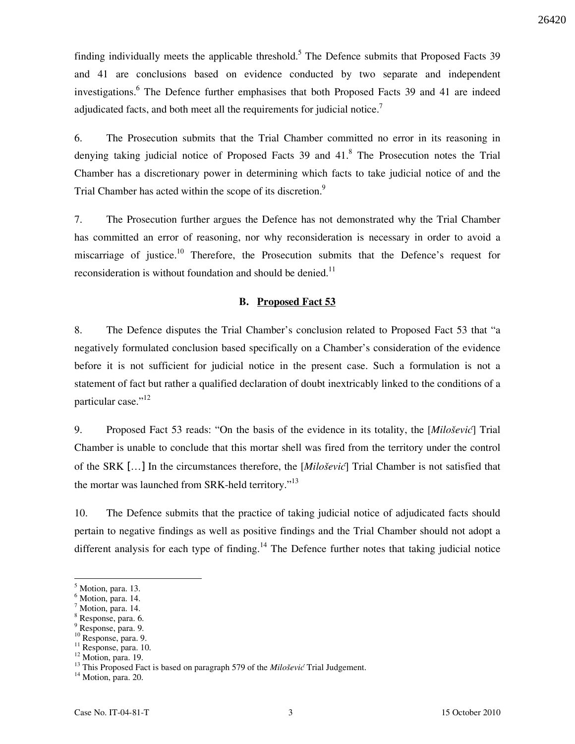finding individually meets the applicable threshold.<sup>5</sup> The Defence submits that Proposed Facts 39 and 41 are conclusions based on evidence conducted by two separate and independent investigations.<sup>6</sup> The Defence further emphasises that both Proposed Facts 39 and 41 are indeed adjudicated facts, and both meet all the requirements for judicial notice.<sup>7</sup>

6. The Prosecution submits that the Trial Chamber committed no error in its reasoning in denying taking judicial notice of Proposed Facts 39 and 41.<sup>8</sup> The Prosecution notes the Trial Chamber has a discretionary power in determining which facts to take judicial notice of and the Trial Chamber has acted within the scope of its discretion.<sup>9</sup>

7. The Prosecution further argues the Defence has not demonstrated why the Trial Chamber has committed an error of reasoning, nor why reconsideration is necessary in order to avoid a miscarriage of justice.<sup>10</sup> Therefore, the Prosecution submits that the Defence's request for reconsideration is without foundation and should be denied.<sup>11</sup>

#### B. Proposed Fact 53

8. The Defence disputes the Trial Chamber's conclusion related to Proposed Fact 53 that "a negatively formulated conclusion based specifically on a Chamber's consideration of the evidence before it is not sufficient for judicial notice in the present case. Such a formulation is not a statement of fact but rather a qualified declaration of doubt inextricably linked to the conditions of a particular case."<sup>12</sup>

9. Proposed Fact 53 reads: "On the basis of the evidence in its totality, the [Milošević] Trial Chamber is unable to conclude that this mortar shell was fired from the territory under the control of the SRK  $[...]$  In the circumstances therefore, the  $[Milo\check{se}vi\check{c}]$  Trial Chamber is not satisfied that the mortar was launched from SRK-held territory."<sup>13</sup>

10. The Defence submits that the practice of taking judicial notice of adjudicated facts should pertain to negative findings as well as positive findings and the Trial Chamber should not adopt a different analysis for each type of finding.<sup>14</sup> The Defence further notes that taking judicial notice

 $\overline{a}$ 

9 Response, para. 9.

<sup>14</sup> Motion, para. 20.

<sup>5</sup> Motion, para. 13.

<sup>6</sup> Motion, para. 14.

<sup>7</sup> Motion, para. 14. 8 Response, para. 6.

<sup>10</sup> Response, para. 9.

<sup>&</sup>lt;sup>11</sup> Response, para. 10.

<sup>&</sup>lt;sup>12</sup> Motion, para. 19.

<sup>&</sup>lt;sup>13</sup> This Proposed Fact is based on paragraph 579 of the *Milošević* Trial Judgement.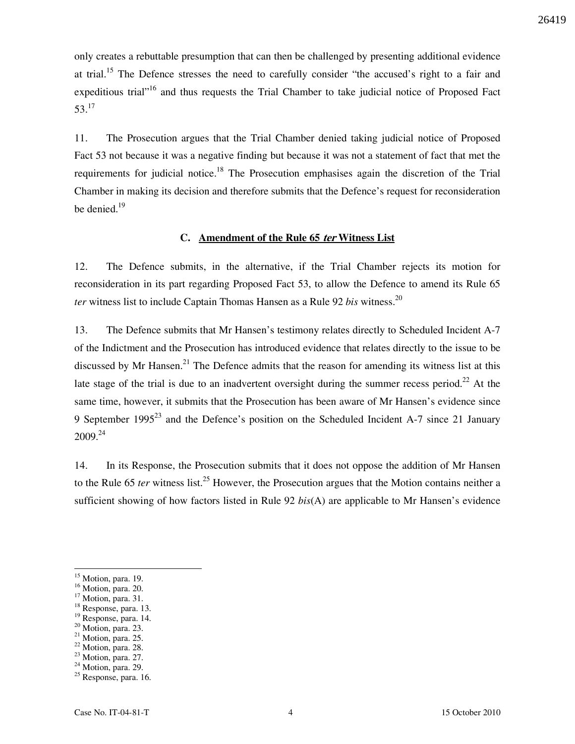only creates a rebuttable presumption that can then be challenged by presenting additional evidence at trial.<sup>15</sup> The Defence stresses the need to carefully consider "the accused's right to a fair and expeditious trial"<sup>16</sup> and thus requests the Trial Chamber to take judicial notice of Proposed Fact  $53.<sup>17</sup>$ 

11. The Prosecution argues that the Trial Chamber denied taking judicial notice of Proposed Fact 53 not because it was a negative finding but because it was not a statement of fact that met the requirements for judicial notice.<sup>18</sup> The Prosecution emphasises again the discretion of the Trial Chamber in making its decision and therefore submits that the Defence's request for reconsideration be denied.<sup>19</sup>

#### C. Amendment of the Rule 65 ter Witness List

12. The Defence submits, in the alternative, if the Trial Chamber rejects its motion for reconsideration in its part regarding Proposed Fact 53, to allow the Defence to amend its Rule 65 ter witness list to include Captain Thomas Hansen as a Rule 92 bis witness.<sup>20</sup>

13. The Defence submits that Mr Hansen's testimony relates directly to Scheduled Incident A-7 of the Indictment and the Prosecution has introduced evidence that relates directly to the issue to be discussed by Mr Hansen.<sup>21</sup> The Defence admits that the reason for amending its witness list at this late stage of the trial is due to an inadvertent oversight during the summer recess period.<sup>22</sup> At the same time, however, it submits that the Prosecution has been aware of Mr Hansen's evidence since 9 September 1995<sup>23</sup> and the Defence's position on the Scheduled Incident A-7 since 21 January  $2009.<sup>24</sup>$ 

14. In its Response, the Prosecution submits that it does not oppose the addition of Mr Hansen to the Rule 65 ter witness list.<sup>25</sup> However, the Prosecution argues that the Motion contains neither a sufficient showing of how factors listed in Rule 92  $bis(A)$  are applicable to Mr Hansen's evidence

 $\overline{a}$ 

<sup>&</sup>lt;sup>15</sup> Motion, para. 19.

<sup>&</sup>lt;sup>16</sup> Motion, para. 20.

 $17$  Motion, para. 31.

<sup>&</sup>lt;sup>18</sup> Response, para. 13.

 $19$  Response, para. 14.

<sup>&</sup>lt;sup>20</sup> Motion, para. 23.

 $21$  Motion, para. 25.

<sup>&</sup>lt;sup>22</sup> Motion, para. 28.

<sup>&</sup>lt;sup>23</sup> Motion, para. 27.

 $24$  Motion, para. 29.

<sup>&</sup>lt;sup>25</sup> Response, para. 16.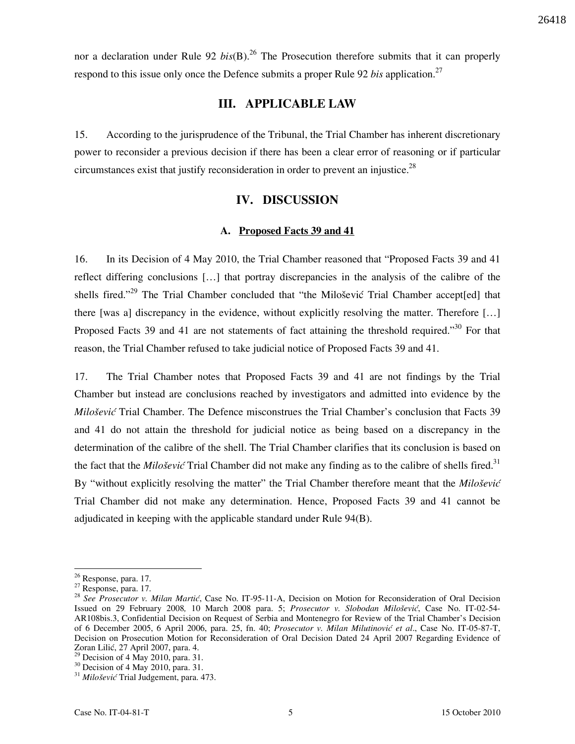nor a declaration under Rule 92  $bis(B)$ .<sup>26</sup> The Prosecution therefore submits that it can properly respond to this issue only once the Defence submits a proper Rule 92 bis application.<sup>27</sup>

# III. APPLICABLE LAW

15. According to the jurisprudence of the Tribunal, the Trial Chamber has inherent discretionary power to reconsider a previous decision if there has been a clear error of reasoning or if particular circumstances exist that justify reconsideration in order to prevent an injustice.<sup>28</sup>

# IV. DISCUSSION

### A. Proposed Facts 39 and 41

16. In its Decision of 4 May 2010, the Trial Chamber reasoned that "Proposed Facts 39 and 41 reflect differing conclusions [...] that portray discrepancies in the analysis of the calibre of the shells fired."<sup>29</sup> The Trial Chamber concluded that "the Milošević Trial Chamber accept[ed] that there [was a] discrepancy in the evidence, without explicitly resolving the matter. Therefore [...] Proposed Facts 39 and 41 are not statements of fact attaining the threshold required."<sup>30</sup> For that reason, the Trial Chamber refused to take judicial notice of Proposed Facts 39 and 41.

17. The Trial Chamber notes that Proposed Facts 39 and 41 are not findings by the Trial Chamber but instead are conclusions reached by investigators and admitted into evidence by the *Milošević* Trial Chamber. The Defence misconstrues the Trial Chamber's conclusion that Facts 39 and 41 do not attain the threshold for judicial notice as being based on a discrepancy in the determination of the calibre of the shell. The Trial Chamber clarifies that its conclusion is based on the fact that the *Milošević* Trial Chamber did not make any finding as to the calibre of shells fired.<sup>31</sup> By "without explicitly resolving the matter" the Trial Chamber therefore meant that the Milošević Trial Chamber did not make any determination. Hence, Proposed Facts 39 and 41 cannot be adjudicated in keeping with the applicable standard under Rule 94(B).

 $\overline{a}$ 

<sup>&</sup>lt;sup>26</sup> Response, para. 17.

<sup>27</sup> Response, para. 17.

<sup>&</sup>lt;sup>28</sup> See Prosecutor v. Milan Martić, Case No. IT-95-11-A, Decision on Motion for Reconsideration of Oral Decision Issued on 29 February 2008, 10 March 2008 para. 5; Prosecutor v. Slobodan Milošević, Case No. IT-02-54-AR108bis.3, Confidential Decision on Request of Serbia and Montenegro for Review of the Trial Chamber's Decision of 6 December 2005, 6 April 2006, para. 25, fn. 40; Prosecutor v. Milan Milutinović et al., Case No. IT-05-87-T, Decision on Prosecution Motion for Reconsideration of Oral Decision Dated 24 April 2007 Regarding Evidence of Zoran Lilić, 27 April 2007, para. 4.

 $29$  Decision of 4 May 2010, para. 31.

<sup>&</sup>lt;sup>30</sup> Decision of 4 May 2010, para. 31.

<sup>&</sup>lt;sup>31</sup> Milošević Trial Judgement, para. 473.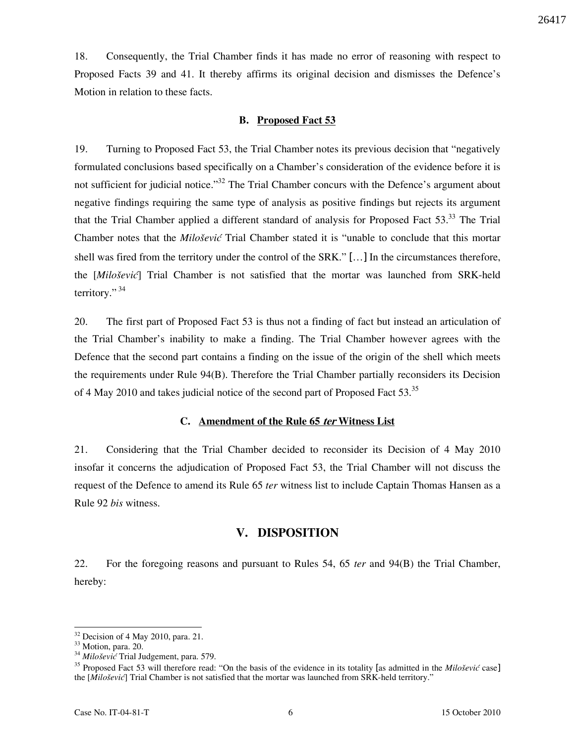26417

18. Consequently, the Trial Chamber finds it has made no error of reasoning with respect to Proposed Facts 39 and 41. It thereby affirms its original decision and dismisses the Defence's Motion in relation to these facts.

#### B. Proposed Fact 53

19. Turning to Proposed Fact 53, the Trial Chamber notes its previous decision that "negatively formulated conclusions based specifically on a Chamber's consideration of the evidence before it is not sufficient for judicial notice.<sup>33</sup> The Trial Chamber concurs with the Defence's argument about negative findings requiring the same type of analysis as positive findings but rejects its argument that the Trial Chamber applied a different standard of analysis for Proposed Fact 53.<sup>33</sup> The Trial Chamber notes that the *Milošević* Trial Chamber stated it is "unable to conclude that this mortar shell was fired from the territory under the control of the SRK." […] In the circumstances therefore, the [Milošević] Trial Chamber is not satisfied that the mortar was launched from SRK-held territory." $34$ 

20. The first part of Proposed Fact 53 is thus not a finding of fact but instead an articulation of the Trial Chamber's inability to make a finding. The Trial Chamber however agrees with the Defence that the second part contains a finding on the issue of the origin of the shell which meets the requirements under Rule 94(B). Therefore the Trial Chamber partially reconsiders its Decision of 4 May 2010 and takes judicial notice of the second part of Proposed Fact 53.<sup>35</sup>

#### C. Amendment of the Rule 65 ter Witness List

21. Considering that the Trial Chamber decided to reconsider its Decision of 4 May 2010 insofar it concerns the adjudication of Proposed Fact 53, the Trial Chamber will not discuss the request of the Defence to amend its Rule 65 *ter* witness list to include Captain Thomas Hansen as a Rule 92 *bis* witness.

# V. DISPOSITION

22. For the foregoing reasons and pursuant to Rules 54, 65 ter and 94(B) the Trial Chamber, hereby:

 $\ddot{\phantom{a}}$  $32$  Decision of 4 May 2010, para. 21.

<sup>&</sup>lt;sup>33</sup> Motion, para. 20.

 $34$  Milošević Trial Judgement, para. 579.

 $35$  Proposed Fact 53 will therefore read: "On the basis of the evidence in its totality [as admitted in the *Milošević* case] the [Milošević] Trial Chamber is not satisfied that the mortar was launched from SRK-held territory."